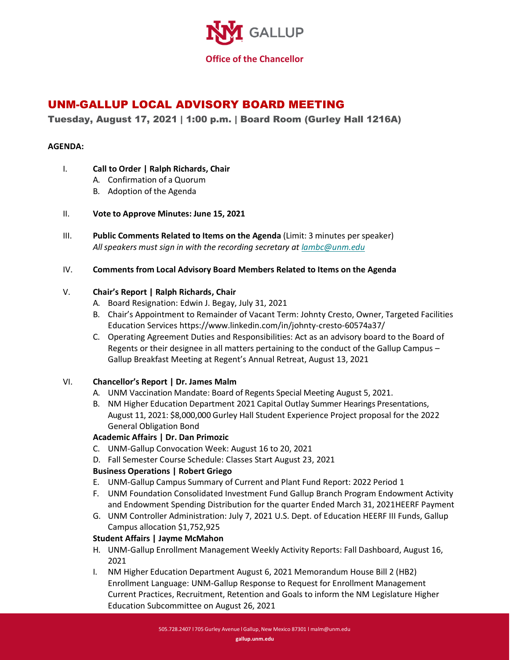

# UNM-GALLUP LOCAL ADVISORY BOARD MEETING

## Tuesday, August 17, 2021 | 1:00 p.m. | Board Room (Gurley Hall 1216A)

### **AGENDA:**

- I. **Call to Order | Ralph Richards, Chair**
	- A. Confirmation of a Quorum
	- B. Adoption of the Agenda
- II. **Vote to Approve Minutes: June 15, 2021**
- III. **Public Comments Related to Items on the Agenda** (Limit: 3 minutes perspeaker) *All speakers must sign in with the recording secretary at [lambc@unm.edu](mailto:lambc@unm.edu)*

#### IV. **Comments from Local Advisory Board Members Related to Items on the Agenda**

### V. **Chair's Report | Ralph Richards, Chair**

- A. Board Resignation: Edwin J. Begay, July 31, 2021
- B. Chair's Appointment to Remainder of Vacant Term: Johnty Cresto, Owner, Targeted Facilities Education Services https://www.linkedin.com/in/johnty-cresto-60574a37/
- C. Operating Agreement Duties and Responsibilities: Act as an advisory board to the Board of Regents or their designee in all matters pertaining to the conduct of the Gallup Campus – Gallup Breakfast Meeting at Regent's Annual Retreat, August 13, 2021

### VI. **Chancellor's Report | Dr. James Malm**

- A. UNM Vaccination Mandate: Board of Regents Special Meeting August 5, 2021.
- B. NM Higher Education Department 2021 Capital Outlay Summer Hearings Presentations, August 11, 2021: \$8,000,000 Gurley Hall Student Experience Project proposal for the 2022 General Obligation Bond

### **Academic Affairs | Dr. Dan Primozic**

- C. UNM-Gallup Convocation Week: August 16 to 20, 2021
- D. Fall Semester Course Schedule: Classes Start August 23, 2021

### **Business Operations | Robert Griego**

- E. UNM-Gallup Campus Summary of Current and Plant Fund Report: 2022 Period 1
- F. UNM Foundation Consolidated Investment Fund Gallup Branch Program Endowment Activity and Endowment Spending Distribution for the quarter Ended March 31, 2021HEERF Payment
- G. UNM Controller Administration: July 7, 2021 U.S. Dept. of Education HEERF III Funds, Gallup Campus allocation \$1,752,925

### **Student Affairs | Jayme McMahon**

- H. UNM-Gallup Enrollment Management Weekly Activity Reports: Fall Dashboard, August 16, 2021
- I. NM Higher Education Department August 6, 2021 Memorandum House Bill 2 (HB2) Enrollment Language: UNM-Gallup Response to Request for Enrollment Management Current Practices, Recruitment, Retention and Goals to inform the NM Legislature Higher Education Subcommittee on August 26, 2021